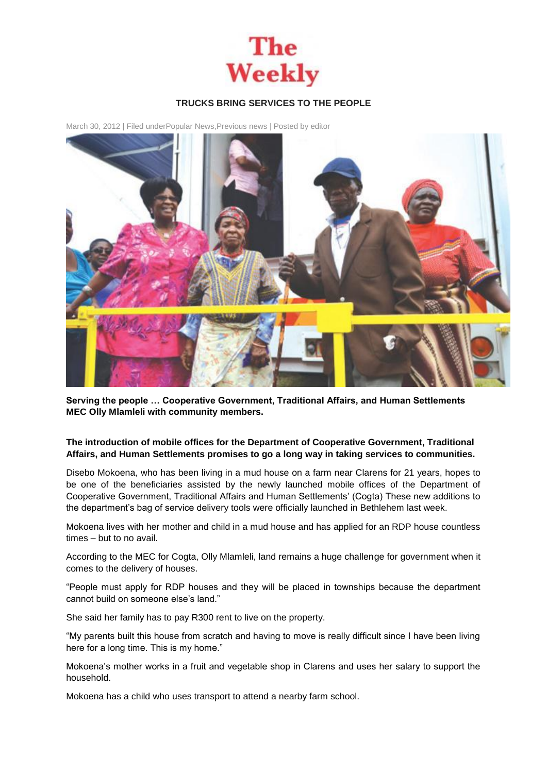

## **TRUCKS BRING SERVICES TO THE PEOPLE**

March 30, 2012 | Filed unde[rPopular News,](http://theweekly.co.za/?cat=10)[Previous news](http://theweekly.co.za/?cat=7) | Posted by [editor](http://theweekly.co.za/?author=1)



**Serving the people … Cooperative Government, Traditional Affairs, and Human Settlements MEC Olly Mlamleli with community members.**

## **The introduction of mobile offices for the Department of Cooperative Government, Traditional Affairs, and Human Settlements promises to go a long way in taking services to communities.**

Disebo Mokoena, who has been living in a mud house on a farm near Clarens for 21 years, hopes to be one of the beneficiaries assisted by the newly launched mobile offices of the Department of Cooperative Government, Traditional Affairs and Human Settlements' (Cogta) These new additions to the department's bag of service delivery tools were officially launched in Bethlehem last week.

Mokoena lives with her mother and child in a mud house and has applied for an RDP house countless times – but to no avail.

According to the MEC for Cogta, Olly Mlamleli, land remains a huge challenge for government when it comes to the delivery of houses.

"People must apply for RDP houses and they will be placed in townships because the department cannot build on someone else's land."

She said her family has to pay R300 rent to live on the property.

"My parents built this house from scratch and having to move is really difficult since I have been living here for a long time. This is my home."

Mokoena's mother works in a fruit and vegetable shop in Clarens and uses her salary to support the household.

Mokoena has a child who uses transport to attend a nearby farm school.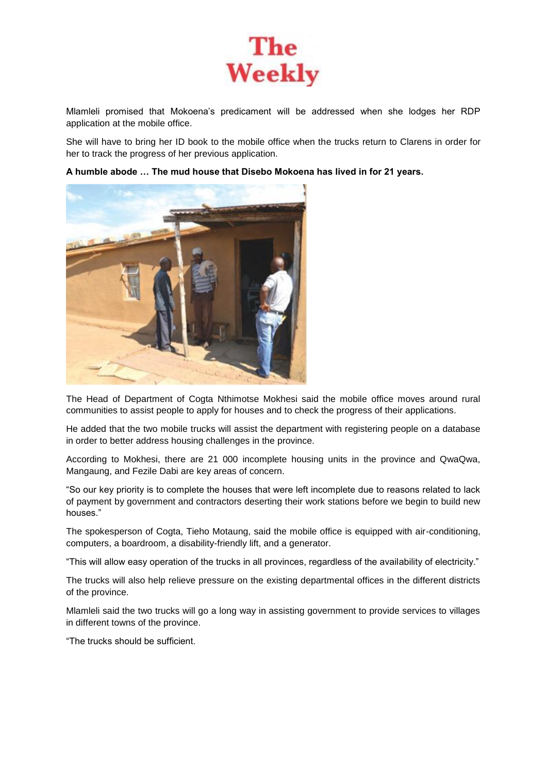

Mlamleli promised that Mokoena's predicament will be addressed when she lodges her RDP application at the mobile office.

She will have to bring her ID book to the mobile office when the trucks return to Clarens in order for her to track the progress of her previous application.

**A humble abode … The mud house that Disebo Mokoena has lived in for 21 years.**



The Head of Department of Cogta Nthimotse Mokhesi said the mobile office moves around rural communities to assist people to apply for houses and to check the progress of their applications.

He added that the two mobile trucks will assist the department with registering people on a database in order to better address housing challenges in the province.

According to Mokhesi, there are 21 000 incomplete housing units in the province and QwaQwa, Mangaung, and Fezile Dabi are key areas of concern.

"So our key priority is to complete the houses that were left incomplete due to reasons related to lack of payment by government and contractors deserting their work stations before we begin to build new houses."

The spokesperson of Cogta, Tieho Motaung, said the mobile office is equipped with air-conditioning, computers, a boardroom, a disability-friendly lift, and a generator.

"This will allow easy operation of the trucks in all provinces, regardless of the availability of electricity."

The trucks will also help relieve pressure on the existing departmental offices in the different districts of the province.

Mlamleli said the two trucks will go a long way in assisting government to provide services to villages in different towns of the province.

"The trucks should be sufficient.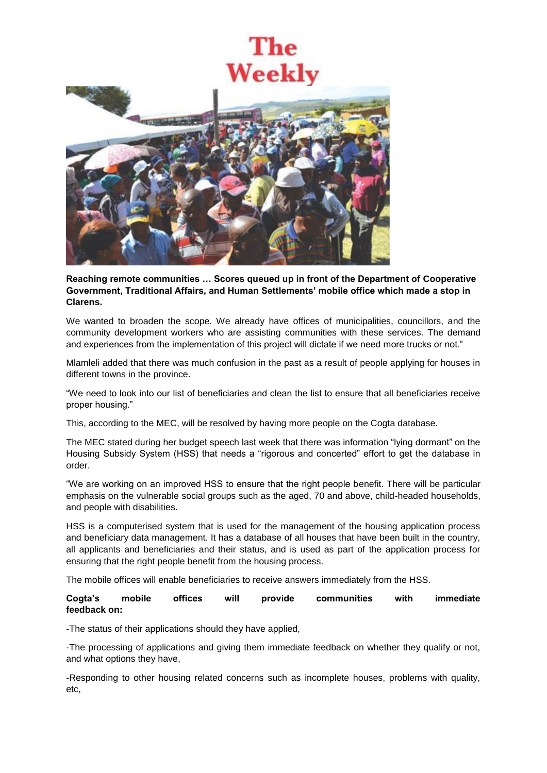## The Weekly



**Reaching remote communities … Scores queued up in front of the Department of Cooperative Government, Traditional Affairs, and Human Settlements' mobile office which made a stop in Clarens.**

We wanted to broaden the scope. We already have offices of municipalities, councillors, and the community development workers who are assisting communities with these services. The demand and experiences from the implementation of this project will dictate if we need more trucks or not."

Mlamleli added that there was much confusion in the past as a result of people applying for houses in different towns in the province.

"We need to look into our list of beneficiaries and clean the list to ensure that all beneficiaries receive proper housing."

This, according to the MEC, will be resolved by having more people on the Cogta database.

The MEC stated during her budget speech last week that there was information "lying dormant" on the Housing Subsidy System (HSS) that needs a "rigorous and concerted" effort to get the database in order.

"We are working on an improved HSS to ensure that the right people benefit. There will be particular emphasis on the vulnerable social groups such as the aged, 70 and above, child-headed households, and people with disabilities.

HSS is a computerised system that is used for the management of the housing application process and beneficiary data management. It has a database of all houses that have been built in the country, all applicants and beneficiaries and their status, and is used as part of the application process for ensuring that the right people benefit from the housing process.

The mobile offices will enable beneficiaries to receive answers immediately from the HSS.

**Cogta's mobile offices will provide communities with immediate feedback on:**

-The status of their applications should they have applied,

-The processing of applications and giving them immediate feedback on whether they qualify or not, and what options they have,

-Responding to other housing related concerns such as incomplete houses, problems with quality, etc,